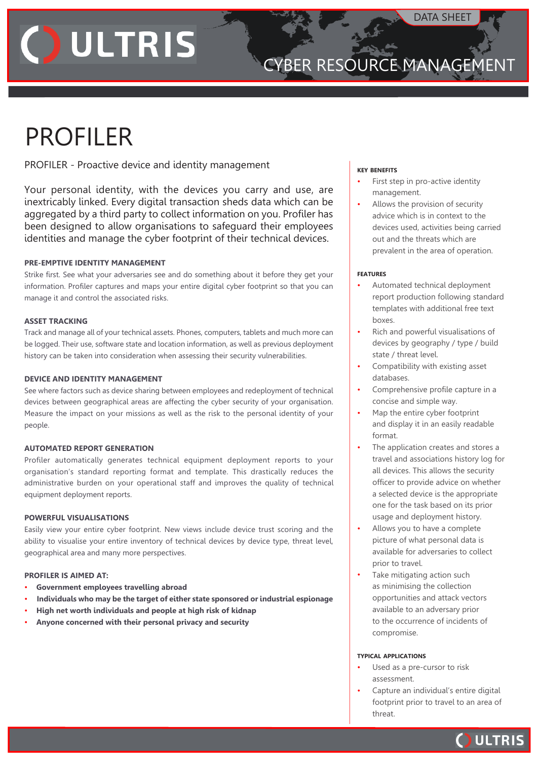# **JULTRIS**

### cyber RESOURCE MANAGEMENT

### PROFILER

PROFILER - Proactive device and identity management

Your personal identity, with the devices you carry and use, are inextricably linked. Every digital transaction sheds data which can be aggregated by a third party to collect information on you. Profiler has been designed to allow organisations to safeguard their employees identities and manage the cyber footprint of their technical devices.

#### **PRE-EMPTIVE IDENTITY MANAGEMENT**

Strike first. See what your adversaries see and do something about it before they get your information. Profiler captures and maps your entire digital cyber footprint so that you can manage it and control the associated risks.

#### **ASSET TRACKING**

Track and manage all of your technical assets. Phones, computers, tablets and much more can be logged. Their use, software state and location information, as well as previous deployment history can be taken into consideration when assessing their security vulnerabilities.

#### **DEVICE AND IDENTITY MANAGEMENT**

See where factors such as device sharing between employees and redeployment of technical devices between geographical areas are affecting the cyber security of your organisation. Measure the impact on your missions as well as the risk to the personal identity of your people.

#### **AUTOMATED REPORT GENERATION**

Profiler automatically generates technical equipment deployment reports to your organisation's standard reporting format and template. This drastically reduces the administrative burden on your operational staff and improves the quality of technical equipment deployment reports.

#### **POWERFUL VISUALISATIONS**

Easily view your entire cyber footprint. New views include device trust scoring and the ability to visualise your entire inventory of technical devices by device type, threat level, geographical area and many more perspectives.

#### **PROFILER IS AIMED AT:**

- **Government employees travelling abroad**
- **Individuals who may be the target of either state sponsored or industrial espionage**
- **High net worth individuals and people at high risk of kidnap**
- **Anyone concerned with their personal privacy and security**

#### **key benefits**

- First step in pro-active identity management.
- Allows the provision of security advice which is in context to the devices used, activities being carried out and the threats which are prevalent in the area of operation.

#### **features**

- Automated technical deployment report production following standard templates with additional free text boxes.
- Rich and powerful visualisations of devices by geography / type / build state / threat level.
- Compatibility with existing asset databases.
- Comprehensive profile capture in a concise and simple way.
- Map the entire cyber footprint and display it in an easily readable format.
- The application creates and stores a travel and associations history log for all devices. This allows the security officer to provide advice on whether a selected device is the appropriate one for the task based on its prior usage and deployment history.
- Allows you to have a complete picture of what personal data is available for adversaries to collect prior to travel.
- Take mitigating action such as minimising the collection opportunities and attack vectors available to an adversary prior to the occurrence of incidents of compromise.

#### **typical applications**

- Used as a pre-cursor to risk assessment.
- Capture an individual's entire digital footprint prior to travel to an area of threat.

**OULTRIS**